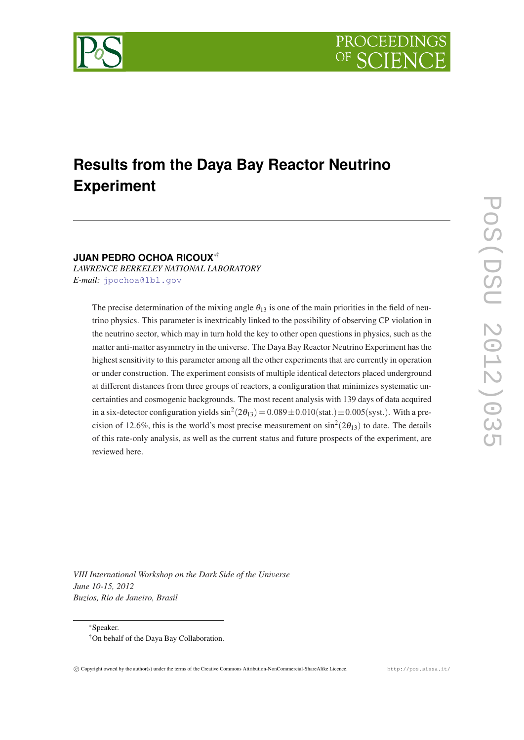

# **Results from the Daya Bay Reactor Neutrino Experiment**

# **JUAN PEDRO OCHOA RICOUX**∗†

*LAWRENCE BERKELEY NATIONAL LABORATORY E-mail:* [jpochoa@lbl.gov](mailto:jpochoa@lbl.gov)

> The precise determination of the mixing angle  $\theta_{13}$  is one of the main priorities in the field of neutrino physics. This parameter is inextricably linked to the possibility of observing CP violation in the neutrino sector, which may in turn hold the key to other open questions in physics, such as the matter anti-matter asymmetry in the universe. The Daya Bay Reactor Neutrino Experiment has the highest sensitivity to this parameter among all the other experiments that are currently in operation or under construction. The experiment consists of multiple identical detectors placed underground at different distances from three groups of reactors, a configuration that minimizes systematic uncertainties and cosmogenic backgrounds. The most recent analysis with 139 days of data acquired in a six-detector configuration yields  $\sin^2(2\theta_{13}) = 0.089 \pm 0.010(\text{stat.}) \pm 0.005(\text{syst.})$ . With a precision of 12.6%, this is the world's most precise measurement on  $\sin^2(2\theta_{13})$  to date. The details of this rate-only analysis, as well as the current status and future prospects of the experiment, are reviewed here.

*VIII International Workshop on the Dark Side of the Universe June 10-15, 2012 Buzios, Rio de Janeiro, Brasil*

<sup>∗</sup>Speaker. †On behalf of the Daya Bay Collaboration.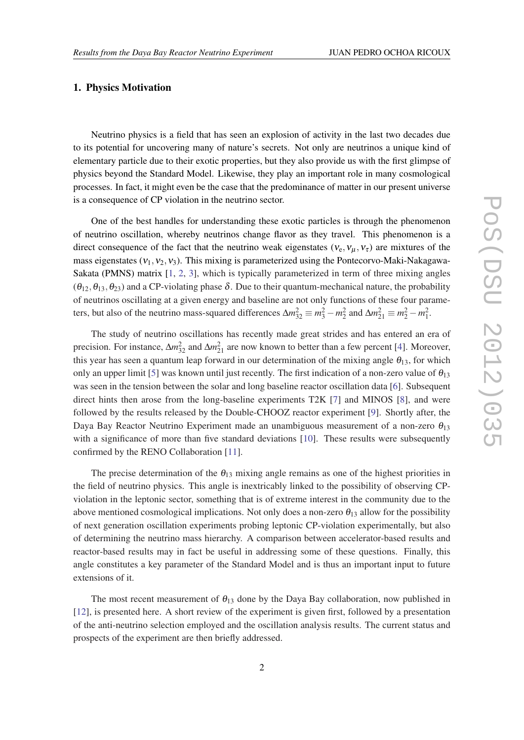# 1. Physics Motivation

Neutrino physics is a field that has seen an explosion of activity in the last two decades due to its potential for uncovering many of nature's secrets. Not only are neutrinos a unique kind of elementary particle due to their exotic properties, but they also provide us with the first glimpse of physics beyond the Standard Model. Likewise, they play an important role in many cosmological processes. In fact, it might even be the case that the predominance of matter in our present universe is a consequence of CP violation in the neutrino sector.

One of the best handles for understanding these exotic particles is through the phenomenon of neutrino oscillation, whereby neutrinos change flavor as they travel. This phenomenon is a direct consequence of the fact that the neutrino weak eigenstates ( $v_e, v_u, v_\tau$ ) are mixtures of the mass eigenstates  $(v_1, v_2, v_3)$ . This mixing is parameterized using the Pontecorvo-Maki-Nakagawa-Sakata (PMNS) matrix [[1,](#page-7-0) [2](#page-7-0), [3](#page-7-0)], which is typically parameterized in term of three mixing angles  $(\theta_{12}, \theta_{13}, \theta_{23})$  and a CP-violating phase  $\delta$ . Due to their quantum-mechanical nature, the probability of neutrinos oscillating at a given energy and baseline are not only functions of these four parameters, but also of the neutrino mass-squared differences  $\Delta m_{32}^2 \equiv m_3^2 - m_2^2$  and  $\Delta m_{21}^2 \equiv m_2^2 - m_1^2$ .

The study of neutrino oscillations has recently made great strides and has entered an era of precision. For instance,  $\Delta m_{32}^2$  and  $\Delta m_{21}^2$  are now known to better than a few percent [[4](#page-7-0)]. Moreover, this year has seen a quantum leap forward in our determination of the mixing angle  $\theta_{13}$ , for which only an upper limit [[5](#page-7-0)] was known until just recently. The first indication of a non-zero value of  $\theta_{13}$ was seen in the tension between the solar and long baseline reactor oscillation data [[6\]](#page-7-0). Subsequent direct hints then arose from the long-baseline experiments T2K [[7\]](#page-7-0) and MINOS [[8](#page-7-0)], and were followed by the results released by the Double-CHOOZ reactor experiment [[9](#page-7-0)]. Shortly after, the Daya Bay Reactor Neutrino Experiment made an unambiguous measurement of a non-zero  $\theta_{13}$ with a significance of more than five standard deviations [\[10](#page-7-0)]. These results were subsequently confirmed by the RENO Collaboration [[11\]](#page-7-0).

The precise determination of the  $\theta_{13}$  mixing angle remains as one of the highest priorities in the field of neutrino physics. This angle is inextricably linked to the possibility of observing CPviolation in the leptonic sector, something that is of extreme interest in the community due to the above mentioned cosmological implications. Not only does a non-zero  $\theta_{13}$  allow for the possibility of next generation oscillation experiments probing leptonic CP-violation experimentally, but also of determining the neutrino mass hierarchy. A comparison between accelerator-based results and reactor-based results may in fact be useful in addressing some of these questions. Finally, this angle constitutes a key parameter of the Standard Model and is thus an important input to future extensions of it.

The most recent measurement of  $\theta_{13}$  done by the Daya Bay collaboration, now published in [[12\]](#page-7-0), is presented here. A short review of the experiment is given first, followed by a presentation of the anti-neutrino selection employed and the oscillation analysis results. The current status and prospects of the experiment are then briefly addressed.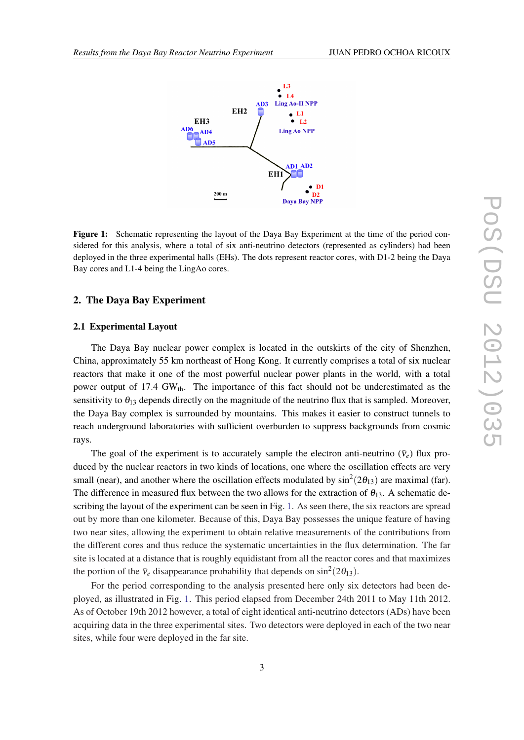

Figure 1: Schematic representing the layout of the Daya Bay Experiment at the time of the period considered for this analysis, where a total of six anti-neutrino detectors (represented as cylinders) had been deployed in the three experimental halls (EHs). The dots represent reactor cores, with D1-2 being the Daya Bay cores and L1-4 being the LingAo cores.

# 2. The Daya Bay Experiment

# 2.1 Experimental Layout

The Daya Bay nuclear power complex is located in the outskirts of the city of Shenzhen, China, approximately 55 km northeast of Hong Kong. It currently comprises a total of six nuclear reactors that make it one of the most powerful nuclear power plants in the world, with a total power output of 17.4 GW<sub>th</sub>. The importance of this fact should not be underestimated as the sensitivity to  $\theta_{13}$  depends directly on the magnitude of the neutrino flux that is sampled. Moreover, the Daya Bay complex is surrounded by mountains. This makes it easier to construct tunnels to reach underground laboratories with sufficient overburden to suppress backgrounds from cosmic rays.

The goal of the experiment is to accurately sample the electron anti-neutrino  $(\bar{v}_e)$  flux produced by the nuclear reactors in two kinds of locations, one where the oscillation effects are very small (near), and another where the oscillation effects modulated by  $\sin^2(2\theta_{13})$  are maximal (far). The difference in measured flux between the two allows for the extraction of  $\theta_{13}$ . A schematic describing the layout of the experiment can be seen in Fig. 1. As seen there, the six reactors are spread out by more than one kilometer. Because of this, Daya Bay possesses the unique feature of having two near sites, allowing the experiment to obtain relative measurements of the contributions from the different cores and thus reduce the systematic uncertainties in the flux determination. The far site is located at a distance that is roughly equidistant from all the reactor cores and that maximizes the portion of the  $\bar{v}_e$  disappearance probability that depends on  $\sin^2(2\theta_{13})$ .

For the period corresponding to the analysis presented here only six detectors had been deployed, as illustrated in Fig. 1. This period elapsed from December 24th 2011 to May 11th 2012. As of October 19th 2012 however, a total of eight identical anti-neutrino detectors (ADs) have been acquiring data in the three experimental sites. Two detectors were deployed in each of the two near sites, while four were deployed in the far site.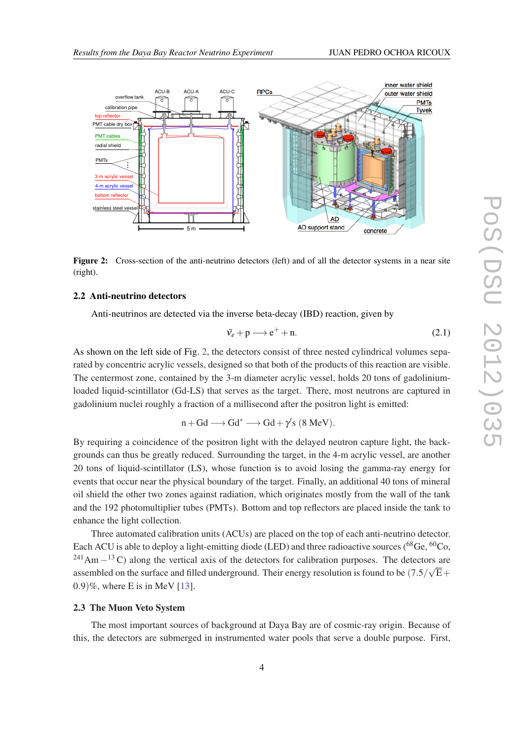<span id="page-3-0"></span>

Figure 2: Cross-section of the anti-neutrino detectors (left) and of all the detector systems in a near site (right).

# 2.2 Anti-neutrino detectors

Anti-neutrinos are detected via the inverse beta-decay (IBD) reaction, given by

$$
\bar{v}_e + \mathbf{p} \longrightarrow \mathbf{e}^+ + \mathbf{n}.\tag{2.1}
$$

As shown on the left side of Fig. 2, the detectors consist of three nested cylindrical volumes separated by concentric acrylic vessels, designed so that both of the products of this reaction are visible. The centermost zone, contained by the 3-m diameter acrylic vessel, holds 20 tons of gadoliniumloaded liquid-scintillator (Gd-LS) that serves as the target. There, most neutrons are captured in gadolinium nuclei roughly a fraction of a millisecond after the positron light is emitted:

$$
n+Gd \longrightarrow Gd^* \longrightarrow Gd + \gamma's \ (8 \ MeV).
$$

By requiring a coincidence of the positron light with the delayed neutron capture light, the backgrounds can thus be greatly reduced. Surrounding the target, in the 4-m acrylic vessel, are another 20 tons of liquid-scintillator (LS), whose function is to avoid losing the gamma-ray energy for events that occur near the physical boundary of the target. Finally, an additional 40 tons of mineral oil shield the other two zones against radiation, which originates mostly from the wall of the tank and the 192 photomultiplier tubes (PMTs). Bottom and top reflectors are placed inside the tank to enhance the light collection.

Three automated calibration units (ACUs) are placed on the top of each anti-neutrino detector. Each ACU is able to deploy a light-emitting diode (LED) and three radioactive sources (<sup>68</sup>Ge, <sup>60</sup>Co, <sup>241</sup>Am  $-$ <sup>13</sup> C) along the vertical axis of the detectors for calibration purposes. The detectors are assembled on the surface and filled underground. Their energy resolution is found to be  $(7.5/\sqrt{\rm E}+$ 0.9)%, where E is in MeV [[13\]](#page-7-0).

#### 2.3 The Muon Veto System

The most important sources of background at Daya Bay are of cosmic-ray origin. Because of this, the detectors are submerged in instrumented water pools that serve a double purpose. First,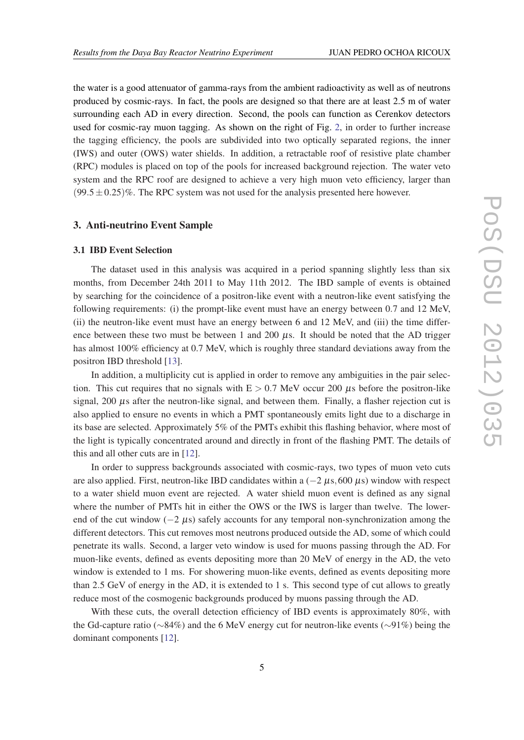the water is a good attenuator of gamma-rays from the ambient radioactivity as well as of neutrons produced by cosmic-rays. In fact, the pools are designed so that there are at least 2.5 m of water surrounding each AD in every direction. Second, the pools can function as Cerenkov detectors used for cosmic-ray muon tagging. As shown on the right of Fig. [2](#page-3-0), in order to further increase the tagging efficiency, the pools are subdivided into two optically separated regions, the inner (IWS) and outer (OWS) water shields. In addition, a retractable roof of resistive plate chamber (RPC) modules is placed on top of the pools for increased background rejection. The water veto system and the RPC roof are designed to achieve a very high muon veto efficiency, larger than  $(99.5 \pm 0.25)\%$ . The RPC system was not used for the analysis presented here however.

# 3. Anti-neutrino Event Sample

#### 3.1 IBD Event Selection

The dataset used in this analysis was acquired in a period spanning slightly less than six months, from December 24th 2011 to May 11th 2012. The IBD sample of events is obtained by searching for the coincidence of a positron-like event with a neutron-like event satisfying the following requirements: (i) the prompt-like event must have an energy between 0.7 and 12 MeV, (ii) the neutron-like event must have an energy between 6 and 12 MeV, and (iii) the time difference between these two must be between 1 and 200  $\mu$ s. It should be noted that the AD trigger has almost 100% efficiency at 0.7 MeV, which is roughly three standard deviations away from the positron IBD threshold [\[13](#page-7-0)].

In addition, a multiplicity cut is applied in order to remove any ambiguities in the pair selection. This cut requires that no signals with  $E > 0.7$  MeV occur 200  $\mu$ s before the positron-like signal,  $200 \mu s$  after the neutron-like signal, and between them. Finally, a flasher rejection cut is also applied to ensure no events in which a PMT spontaneously emits light due to a discharge in its base are selected. Approximately 5% of the PMTs exhibit this flashing behavior, where most of the light is typically concentrated around and directly in front of the flashing PMT. The details of this and all other cuts are in [\[12](#page-7-0)].

In order to suppress backgrounds associated with cosmic-rays, two types of muon veto cuts are also applied. First, neutron-like IBD candidates within a  $(-2 \mu s, 600 \mu s)$  window with respect to a water shield muon event are rejected. A water shield muon event is defined as any signal where the number of PMTs hit in either the OWS or the IWS is larger than twelve. The lowerend of the cut window  $(-2 \mu s)$  safely accounts for any temporal non-synchronization among the different detectors. This cut removes most neutrons produced outside the AD, some of which could penetrate its walls. Second, a larger veto window is used for muons passing through the AD. For muon-like events, defined as events depositing more than 20 MeV of energy in the AD, the veto window is extended to 1 ms. For showering muon-like events, defined as events depositing more than 2.5 GeV of energy in the AD, it is extended to 1 s. This second type of cut allows to greatly reduce most of the cosmogenic backgrounds produced by muons passing through the AD.

With these cuts, the overall detection efficiency of IBD events is approximately 80%, with the Gd-capture ratio (∼84%) and the 6 MeV energy cut for neutron-like events (∼91%) being the dominant components [\[12](#page-7-0)].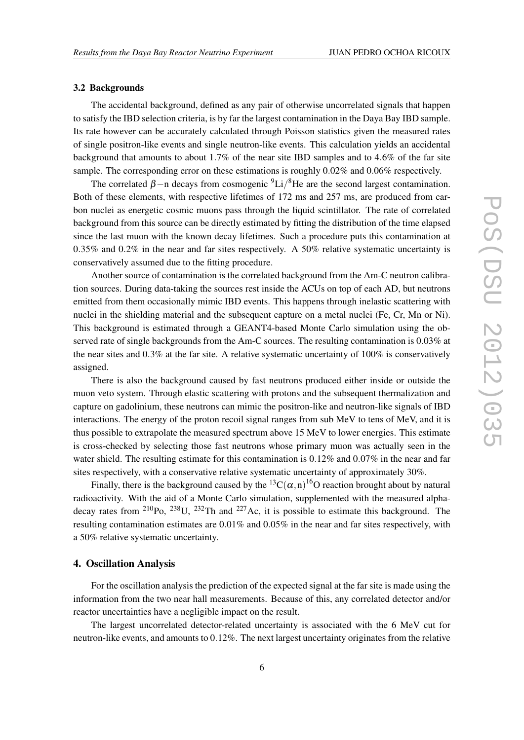#### 3.2 Backgrounds

The accidental background, defined as any pair of otherwise uncorrelated signals that happen to satisfy the IBD selection criteria, is by far the largest contamination in the Daya Bay IBD sample. Its rate however can be accurately calculated through Poisson statistics given the measured rates of single positron-like events and single neutron-like events. This calculation yields an accidental background that amounts to about 1.7% of the near site IBD samples and to 4.6% of the far site sample. The corresponding error on these estimations is roughly 0.02% and 0.06% respectively.

The correlated  $\beta$  –n decays from cosmogenic <sup>9</sup>Li/<sup>8</sup>He are the second largest contamination. Both of these elements, with respective lifetimes of 172 ms and 257 ms, are produced from carbon nuclei as energetic cosmic muons pass through the liquid scintillator. The rate of correlated background from this source can be directly estimated by fitting the distribution of the time elapsed since the last muon with the known decay lifetimes. Such a procedure puts this contamination at 0.35% and 0.2% in the near and far sites respectively. A 50% relative systematic uncertainty is conservatively assumed due to the fitting procedure.

Another source of contamination is the correlated background from the Am-C neutron calibration sources. During data-taking the sources rest inside the ACUs on top of each AD, but neutrons emitted from them occasionally mimic IBD events. This happens through inelastic scattering with nuclei in the shielding material and the subsequent capture on a metal nuclei (Fe, Cr, Mn or Ni). This background is estimated through a GEANT4-based Monte Carlo simulation using the observed rate of single backgrounds from the Am-C sources. The resulting contamination is 0.03% at the near sites and 0.3% at the far site. A relative systematic uncertainty of 100% is conservatively assigned.

There is also the background caused by fast neutrons produced either inside or outside the muon veto system. Through elastic scattering with protons and the subsequent thermalization and capture on gadolinium, these neutrons can mimic the positron-like and neutron-like signals of IBD interactions. The energy of the proton recoil signal ranges from sub MeV to tens of MeV, and it is thus possible to extrapolate the measured spectrum above 15 MeV to lower energies. This estimate is cross-checked by selecting those fast neutrons whose primary muon was actually seen in the water shield. The resulting estimate for this contamination is 0.12% and 0.07% in the near and far sites respectively, with a conservative relative systematic uncertainty of approximately 30%.

Finally, there is the background caused by the  ${}^{13}C(\alpha, n) {}^{16}O$  reaction brought about by natural radioactivity. With the aid of a Monte Carlo simulation, supplemented with the measured alphadecay rates from  $^{210}P_0$ ,  $^{238}U$ ,  $^{232}Th$  and  $^{227}Ac$ , it is possible to estimate this background. The resulting contamination estimates are 0.01% and 0.05% in the near and far sites respectively, with a 50% relative systematic uncertainty.

# 4. Oscillation Analysis

For the oscillation analysis the prediction of the expected signal at the far site is made using the information from the two near hall measurements. Because of this, any correlated detector and/or reactor uncertainties have a negligible impact on the result.

The largest uncorrelated detector-related uncertainty is associated with the 6 MeV cut for neutron-like events, and amounts to 0.12%. The next largest uncertainty originates from the relative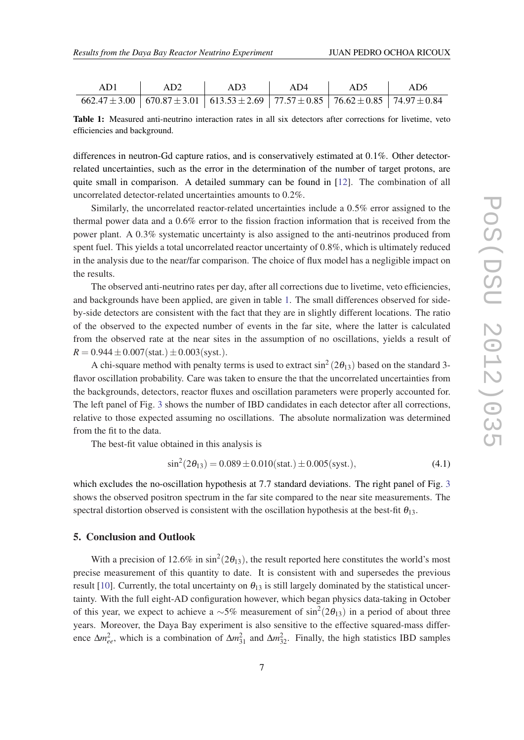| AD1 |                                                                                                                    | AD3 | AD4 | AD5 |  |
|-----|--------------------------------------------------------------------------------------------------------------------|-----|-----|-----|--|
|     | $662.47 \pm 3.00$   $670.87 \pm 3.01$   $613.53 \pm 2.69$   $77.57 \pm 0.85$   $76.62 \pm 0.85$   $74.97 \pm 0.84$ |     |     |     |  |

Table 1: Measured anti-neutrino interaction rates in all six detectors after corrections for livetime, veto efficiencies and background.

differences in neutron-Gd capture ratios, and is conservatively estimated at 0.1%. Other detectorrelated uncertainties, such as the error in the determination of the number of target protons, are quite small in comparison. A detailed summary can be found in [\[12\]](#page-7-0). The combination of all uncorrelated detector-related uncertainties amounts to 0.2%.

Similarly, the uncorrelated reactor-related uncertainties include a 0.5% error assigned to the thermal power data and a 0.6% error to the fission fraction information that is received from the power plant. A 0.3% systematic uncertainty is also assigned to the anti-neutrinos produced from spent fuel. This yields a total uncorrelated reactor uncertainty of 0.8%, which is ultimately reduced in the analysis due to the near/far comparison. The choice of flux model has a negligible impact on the results.

The observed anti-neutrino rates per day, after all corrections due to livetime, veto efficiencies, and backgrounds have been applied, are given in table 1. The small differences observed for sideby-side detectors are consistent with the fact that they are in slightly different locations. The ratio of the observed to the expected number of events in the far site, where the latter is calculated from the observed rate at the near sites in the assumption of no oscillations, yields a result of  $R = 0.944 \pm 0.007$  (stat.)  $\pm 0.003$  (syst.).

A chi-square method with penalty terms is used to extract  $\sin^2(2\theta_{13})$  based on the standard 3flavor oscillation probability. Care was taken to ensure the that the uncorrelated uncertainties from the backgrounds, detectors, reactor fluxes and oscillation parameters were properly accounted for. The left panel of Fig. [3](#page-7-0) shows the number of IBD candidates in each detector after all corrections, relative to those expected assuming no oscillations. The absolute normalization was determined from the fit to the data.

The best-fit value obtained in this analysis is

$$
\sin^2(2\theta_{13}) = 0.089 \pm 0.010 \text{(stat.)} \pm 0.005 \text{(syst.)},\tag{4.1}
$$

which excludes the no-oscillation hypothesis at 7.7 standard deviations. The right panel of Fig. [3](#page-7-0) shows the observed positron spectrum in the far site compared to the near site measurements. The spectral distortion observed is consistent with the oscillation hypothesis at the best-fit  $\theta_{13}$ .

# 5. Conclusion and Outlook

With a precision of 12.6% in  $\sin^2(2\theta_{13})$ , the result reported here constitutes the world's most precise measurement of this quantity to date. It is consistent with and supersedes the previous result [[10\]](#page-7-0). Currently, the total uncertainty on  $\theta_{13}$  is still largely dominated by the statistical uncertainty. With the full eight-AD configuration however, which began physics data-taking in October of this year, we expect to achieve a  $\sim$ 5% measurement of sin<sup>2</sup>(2 $\theta_{13}$ ) in a period of about three years. Moreover, the Daya Bay experiment is also sensitive to the effective squared-mass difference  $\Delta m_{ee}^2$ , which is a combination of  $\Delta m_{31}^2$  and  $\Delta m_{32}^2$ . Finally, the high statistics IBD samples